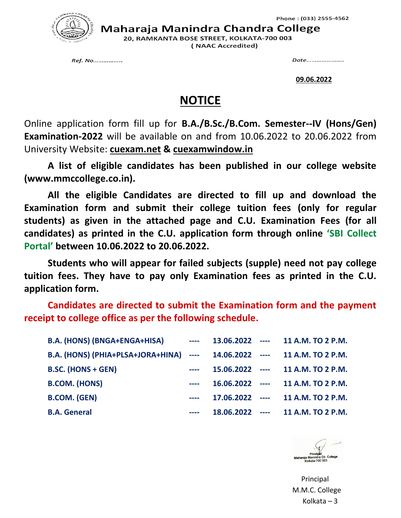

Maharaja Manindra Chandra College

20. RAMKANTA BOSE STREET, KOLKATA-700 003 ( NAAC Accredited)

Ref. No.................

Date......................

**09.06.2022**

## **NOTICE**

Online application form fill up for **B.A./B.Sc./B.Com. Semester--IV (Hons/Gen) Examination-2022** will be available on and from 10.06.2022 to 20.06.2022 from University Website: **cuexam.net & cuexamwindow.in**

**A list of eligible candidates has been published in our college website (www.mmccollege.co.in).**

**All the eligible Candidates are directed to fill up and download the Examination form and submit their college tuition fees (only for regular students) as given in the attached page and C.U. Examination Fees (for all candidates) as printed in the C.U. application form through online 'SBI Collect Portal' between 10.06.2022 to 20.06.2022.**

**Students who will appear for failed subjects (supple) need not pay college tuition fees. They have to pay only Examination fees as printed in the C.U. application form.**

**Candidates are directed to submit the Examination form and the payment receipt to college office as per the following schedule.**

| <b>B.A. (HONS) (BNGA+ENGA+HISA)</b>                                      | $\sim$ $\sim$ $\sim$                                                                           |  | 13.06.2022 ---- 11 A.M. TO 2 P.M. |
|--------------------------------------------------------------------------|------------------------------------------------------------------------------------------------|--|-----------------------------------|
| B.A. (HONS) (PHIA+PLSA+JORA+HINA) ---- 14.06.2022 ---- 11 A.M. TO 2 P.M. |                                                                                                |  |                                   |
| <b>B.SC. (HONS + GEN)</b>                                                |                                                                                                |  | 15.06.2022 ---- 11 A.M. TO 2 P.M. |
| <b>B.COM. (HONS)</b>                                                     |                                                                                                |  | 16.06.2022 ---- 11 A.M. TO 2 P.M. |
| <b>B.COM. (GEN)</b>                                                      | $\frac{1}{2} \left( \frac{1}{2} \right) \left( \frac{1}{2} \right) \left( \frac{1}{2} \right)$ |  | 17.06.2022 ---- 11 A.M. TO 2 P.M. |
| <b>B.A. General</b>                                                      |                                                                                                |  | 18.06.2022 ---- 11 A.M. TO 2 P.M. |



 Principal M.M.C. College Kolkata – 3